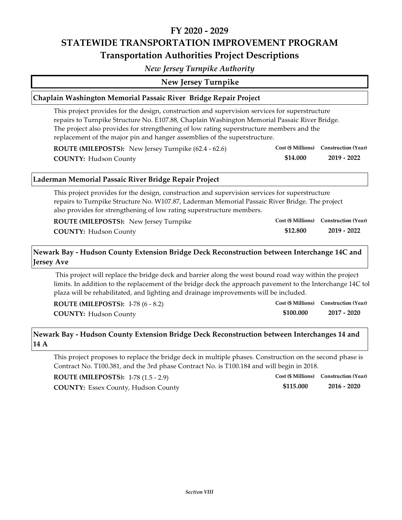## **FY 2020 ‐ 2029 STATEWIDE TRANSPORTATION IMPROVEMENT PROGRAM Transportation Authorities Project Descriptions**

*New Jersey Turnpike Authority*

**New Jersey Turnpike**

### **Chaplain Washington Memorial Passaic River Bridge Repair Project**

This project provides for the design, construction and supervision services for superstructure repairs to Turnpike Structure No. E107.88, Chaplain Washington Memorial Passaic River Bridge. The project also provides for strengthening of low rating superstructure members and the replacement of the major pin and hanger assemblies of the superstructure.

| ROUTE (MILEPOSTS): New Jersey Turnpike (62.4 - 62.6) |          | Cost (\$ Millions) Construction (Year) |
|------------------------------------------------------|----------|----------------------------------------|
| <b>COUNTY: Hudson County</b>                         | \$14.000 | 2019 - 2022                            |

#### **Laderman Memorial Passaic River Bridge Repair Project**

This project provides for the design, construction and supervision services for superstructure repairs to Turnpike Structure No. W107.87, Laderman Memorial Passaic River Bridge. The project also provides for strengthening of low rating superstructure members.

| <b>ROUTE (MILEPOSTS):</b> New Jersey Turnpike |          | Cost (\$ Millions) Construction (Year) |
|-----------------------------------------------|----------|----------------------------------------|
| <b>COUNTY: Hudson County</b>                  | \$12,800 | 2019 - 2022                            |

## **Newark Bay ‐ Hudson County Extension Bridge Deck Reconstruction between Interchange 14C and Jersey Ave**

This project will replace the bridge deck and barrier along the west bound road way within the project limits. In addition to the replacement of the bridge deck the approach pavement to the Interchange 14C tol plaza will be rehabilitated, and lighting and drainage improvements will be included.

| <b>ROUTE (MILEPOSTS): I-78 (6 - 8.2)</b> |           | Cost (\$ Millions) Construction (Year) |
|------------------------------------------|-----------|----------------------------------------|
| <b>COUNTY: Hudson County</b>             | \$100.000 | 2017 - 2020                            |

## **Newark Bay ‐ Hudson County Extension Bridge Deck Reconstruction between Interchanges 14 and 14 A**

This project proposes to replace the bridge deck in multiple phases. Construction on the second phase is Contract No. T100.381, and the 3rd phase Contract No. is T100.184 and will begin in 2018.

**COUNTY: 2016 ‐ 2020** Essex County, Hudson County **ROUTE (MILEPOSTS):** I‐78 (1.5 ‐ 2.9)

|           | Cost (\$ Millions) Construction (Year) |
|-----------|----------------------------------------|
| \$115.000 | $2016 - 2020$                          |